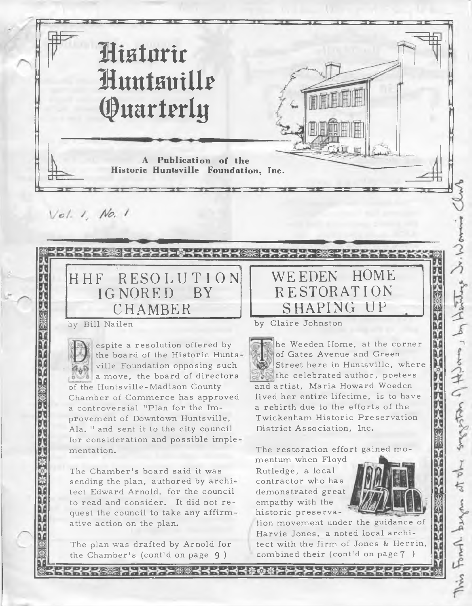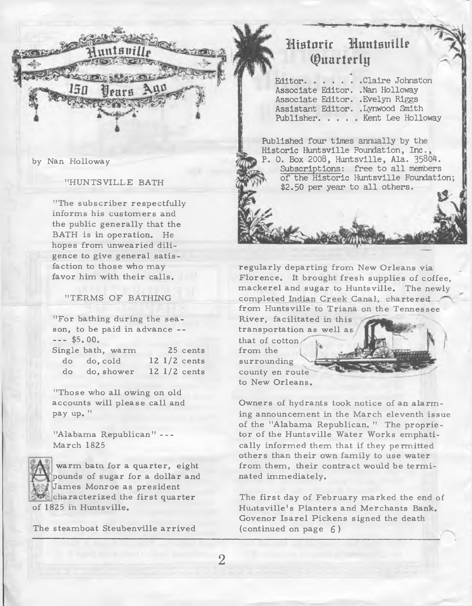

by Nan Holloway

### "HUNTSVILLE BATH

"The subscriber respectfully informs his customers and the public generally that the BATH is in operation. He hopes from unwearied diligence to give general satisfaction to those who may favor him with their calls.

### "TERMS OF BATHING

"For bathing during the season, to be paid in advance - -  $---$  \$5.00.

|       | Single bath, warm |  | 25 cents       |
|-------|-------------------|--|----------------|
|       | do do, cold       |  | 12 $1/2$ cents |
| $d$ o | do, shower        |  | 12 $1/2$ cents |

"Those who all owing on old accounts will please call and pay up. "

"Alabama Republican" ---March 1825



warm batn for a quarter, eight pounds of sugar for a dollar and James Monroe as president Scharacterized the first quarter of 1825 in Huntsville.

The steamboat Steubenville arrived

## Historic Huntsville **Ouarterly**

|  | EditorClaire Johnston             |
|--|-----------------------------------|
|  | Associate Editor. . Nan Holloway  |
|  | Associate Editor. . Evelyn Riggs  |
|  | Assistant Editor. . Lynwood Smith |
|  | Publisher. Kent Lee Holloway      |

**Published four times annually by the Historic Huntsville Foundation, Inc., P. 0. Box 2008, Huntsville, Ala. 35804. Subscriptions: free to all members of the Historic Huntsville Foundation; \$2.50 per year to all others.**

regularly departing from New Orleans via Florence. It brought fresh supplies of coffee, mackerel and sugar to Huntsville. The newly completed Indian Creek Canal, chartered from Huntsville to Triana on the Tennessee

River, facilitated in this transportation as well as

that of cotton, from the surrounding county en route to New Orleans.

Owners of hydrants took notice of an alarm ing announcement in the March eleventh issue of the "Alabama Republican." The proprietor of the Huntsville Water Works emphatically informed them that if they permitted others than their own fam ily to use water from them, their contract would be terminated immediately.

The first day of February marked the end of Huntsville's Planters and Merchants Bank. Govenor Isarel Pickens signed the death (continued on page 6 )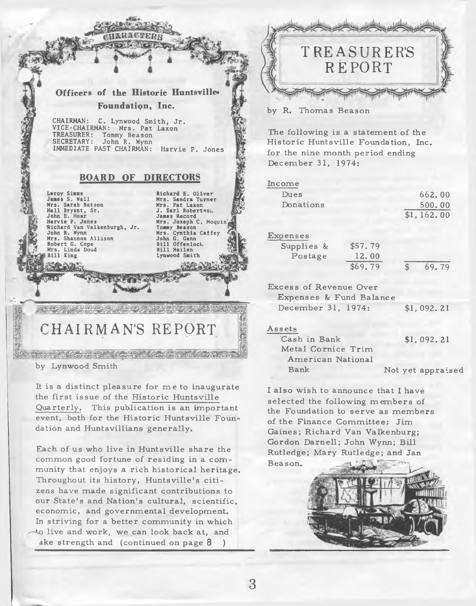**Officers of the Historic Huntsville\* Foundation, Inc.**

**CHAIRMAN: C. Lynwood Smith, Jr. VICE-CHAIRMAN: Mrs. Pat Laxon TREASURER: Tommy Beason SECRETARY: John R. Wynn IMMEDIATE PAST CHAIRMAN: Harvie P. Jones**

### **BOARD OF DIRECTORS**

Leroy Simms James S. Wall Mrs. Sarah Batson Hall Bryant, Sr. John E. Hoar Harvie P. Jones R ichard Van Valkenburgh, Jr. John R. Wynn Mrs. Shannon Allison Robert G. Cope Mrs. Linda Doud Bill King

Richard E. Oliver Mrs. Sandra Turner Mrs. Pat Laxon J. Earl Robertson. James Record Mrs. Joseph C. Moquin Tommy Beason Mrs. Cynthia Caffey John G. Gann Bill Offenloch Bill Nailen Lynwood Smith

**STACKS BIFFICACES RECEIVED** 

**C H A I R M A N 'S REPORT**

by Lynwood Smith

It is a distinct pleasure for me to inaugurate the first issue of the Historic Huntsville Quarterly. This publication is an important event, both for the Historic Huntsville Foundation and Huntsvillians generally.

Each of us who live in Huntsville share the common good fortune of residing in a community that enjoys a rich historical heritage. Throughout its history, Huntsville's citizens have made significant contributions to our State's and Nation's cultural, scientific, econom ic, and governmental development. In striving for a better community in which to live and work, we can look back at, and ake strength and (continued on page  $8$ 

# **T R E A S U R E R 'S REPORT**

by R. Thomas Beason

The following is a statement of the Historic Huntsville Foundation, Inc. for the nine month period ending December 31, 1974:

| Income                        |         |  |                      |
|-------------------------------|---------|--|----------------------|
| Dues                          |         |  | 662.00               |
| Donations                     |         |  | 500.00<br>\$1,162.00 |
| Expenses                      |         |  |                      |
| Supplies &                    | \$57.79 |  |                      |
| Postage                       | 12.00   |  |                      |
|                               | \$69.79 |  | \$69.79              |
| <b>Excess of Revenue Over</b> |         |  |                      |
| Expenses & Fund Balance       |         |  |                      |
| December 31, 1974:            |         |  | \$1,092.21           |
| Assets                        |         |  |                      |
| Cash in Bank                  |         |  | \$1,092.21           |
| Metal Cornice Trim            |         |  |                      |
| American National             |         |  |                      |
| Bank                          |         |  | Not yet appraised    |
|                               |         |  |                      |

I also wish to announce that I have selected the following members of the Foundation to serve as members of the Finance Committee: Jim Gaines; Richard Van Valkenburg; Gordon Darnell; John Wynn; Bill Rutledge; Mary Rutledge; and Jan Beason.

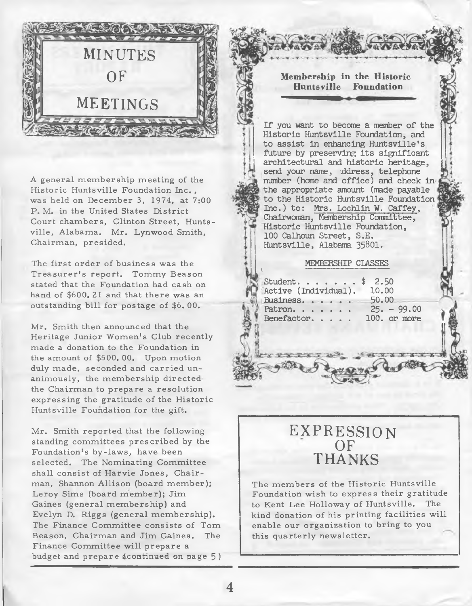

A general membership meeting of the Historic Huntsville Foundation Inc., was held on December 3, 1974, at 7:00 P. M. in the United States District Court chambers, Clinton Street, Huntsville, Alabama. Mr. Lynwood Smith, Chairman, presided.

The first order of business was the Treasurer's report. Tommy Beason stated that the Foundation had cash on hand of \$600. 21 and that there was an outstanding bill for postage of \$6. 00.

Mr. Smith then announced that the Heritage Junior Women's Club recently made a donation to the Foundation in the amount of \$500.00. Upon motion duly made, seconded and carried unanimously, the membership directed the Chairman to prepare a resolution expressing the gratitude of the Historic Huntsville Foundation for the gift.

Mr. Smith reported that the following standing committees prescribed by the Foundation's by-laws, have been selected. The Nominating Committee shall consist of Harvie Jones, Chairman, Shannon Allison (board member); Leroy Sims (board member); Jim Gaines (general membership) and Evelyn D. Riggs (general membership). The Finance Committee consists of Tom Beason, Chairman and Jim Gaines. The Finance Committee will prepare a budget and prepare  $\text{\&}$  continued on page 5)

**Membership in the Historic Huntsville Foundation**

**If you want to become a member of the Historic Huntsville Foundation, and to assist in enhancing Huntsville's future by preserving its significant architectural and historic heritage, send your name, iddress, telephone number (hone and office) and check inthe appropriate amount (made payable to the Historic Huntsville Foundation Inc.) to: Mrs. Lochlln W. Caffey, Chairwoman, Membership Committee, Historic Huntsville Foundation, 100 Calhoun Street, S.E. Huntsville, Alabama 35801.**

#### **MEMBERSHIP CLASSES**

| Student.             |  |  | 2.50  |               |
|----------------------|--|--|-------|---------------|
| Active (Individual). |  |  | 10.00 |               |
| Business             |  |  | 50.00 |               |
| Patron               |  |  |       | $25. - 99.00$ |
| Benefactor.          |  |  |       | 100. or more  |
|                      |  |  |       |               |

## **e x p r e s s io n OF THANKS**

The members of the Historic Huntsville Foundation wish to express their gratitude to Kent Lee Holloway of Huntsville. The kind donation of his printing facilities will enable our organization to bring to you this quarterly newsletter.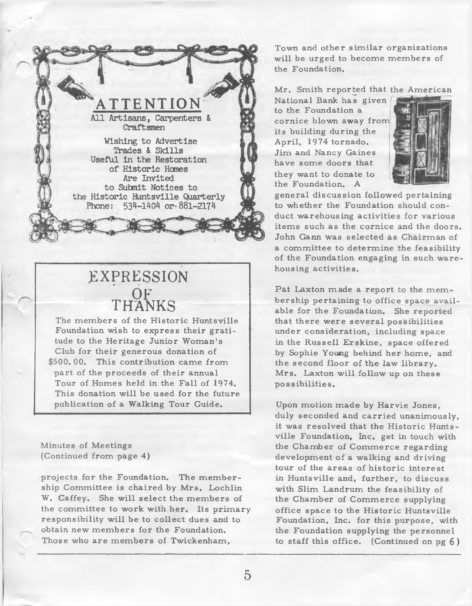

## **EXPRESSION** OF<br>THANKS

The members of the Historic Huntsville Foundation wish to express their gratitude to the Heritage Junior Woman's Club for their generous donation of \$500.00. This contribution came from part of the proceeds of their annual Tour of Homes held in the Fall of 1974. This donation will be used for the future publication of a Walking Tour Guide.

Minutes of Meetings (Continued from page 4)

projects for the Foundation. The membership Committee is chaired by Mrs. Lochlin W. Caffey. She will select the members of the committee to work with her. Its primary responsibility will be to collect dues and to obtain new members for the Foundation. Those who are members of Twickenham,

Town and other sim ilar organizations will be urged to become members of the Foundation.

Mr. Smith reported that the American

National Bank has given to the Foundation a cornice blown away from its building during the April, 1974 tornado. Jim and Nancy Gaines have some doors that they want to donate to the Foundation. A



general discussion followed pertaining to whether the Foundation should con duct warehousing activities for various items such as the cornice and the doors. John Gann was selected as Chairman of a committee to determine the feasibility of the Foundation engaging in such warehousing activities.

Pat Laxton made a report to the membership pertaining to office space available for the Foundation. She reported that there were several possibilities under consideration, including space in the Russell Erskine, space offered by Sophie Young behind her home, and the second floor of the law library. Mrs. Laxton will follow up on these possibilities.

Upon motion made by Harvie Jones, duly seconded and carried unanimously, it was resolved that the Historic Huntsville Foundation, Inc. get in touch with the Chamber of Commerce regarding development of a walking and driving tour of the areas of historic interest in Huntsville and, further, to discuss with Slim Landrum the feasibility of the Chamber of Commerce supplying office space to the Historic Huntsville Foundation, Inc. for this purpose, with the Foundation supplying the personnel to staff this office. (Continued on pg  $6$ )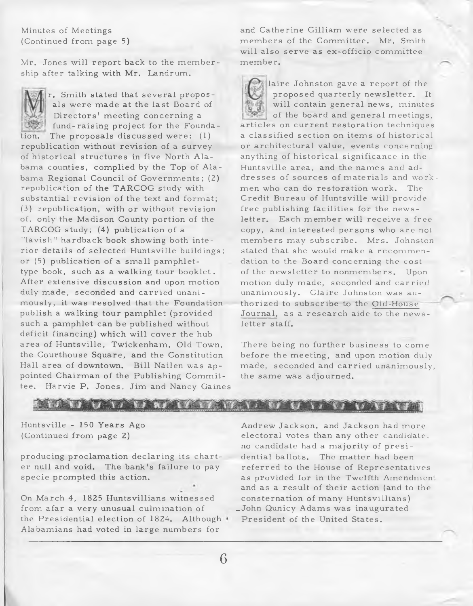### Minutes of Meetings (Continued from page 5)

Mr. Jones will report back to the membership after talking with Mr. Landrum.

r. Smith stated that several proposals were made at the last Board of Directors' meeting concerning a fund-raising project for the Foundation. The proposals discussed were:  $(1)$ republication without revision of a survey of historical structures in five North Alabama counties, complied by the Top of Alabama Regional Council of Governments; (2) republication of the TARCOG study with substantial revision of the text and format; (3) republication, with or without revision of. only the Madison County portion of the TARCOG study;  $(4)$  publication of a "lavish" hardback book showing both interior details of selected Huntsville buildings; or (5) publication of a small pamphlettype book, such as a walking tour booklet. After extensive discussion and upon motion duly made, seconded and carried unanim ously, it was resolved that the Foundation publish a walking tour pamphlet (provided such a pamphlet can be published without deficit financing) which will cover the hub area of Huntsville, Twickenham, Old Town, the Courthouse Square, and the Constitution Hall area of downtown. Bill Nailen was appointed Chairman of the Publishing Committee. Harvie P. Jones. Jim and Nancy Gaines and Catherine Gilliam were selected as members of the Committee. Mr. Smith will also serve as ex-officio committee member.

laire Johnston gave a report of the proposed quarterly new sletter. It will contain general news, minutes of the board and general meetings, articles on current restoration techniques a classified section on items of historical or architectural value, events concerning anything of historical significance in the Huntsville area, and the names and addresses of sources of materials and workmen who can do restoration work. The Credit Bureau of Huntsville will provide free publishing facilities for the newsletter. Each member will receive a free copy, and interested persons who are not members may subscribe. Mrs. Johnston stated that she would make a recommendation to the Board concerning the cost of the newsletter to nonm em bers. Upon motion duly made, seconded and carried unanimously. Claire Johnston was authorized to subscribe to the Old-House Journal, as a research aide to the newsletter staff.

There being no further business to com e before the meeting, and upon motion duly made, seconded and carried unanimously, the same was adjourned.

Huntsville - 150 Years Ago (Continued from page 2)

producing proclamation declaring its charter null and void. The bank's failure to pay specie prompted this action.

On March 4, 1825 Huntsvillians witnessed from afar a very unusual culmination of the Presidential election of 1824. Although Alabamians had voted in large numbers for

Andrew Jackson, and Jackson had more electoral votes than any other candidate, no candidate had a majority of presidential ballots. The matter had been referred to the House of Representatives as provided for in the Twelfth Amendment and as a result of their action (and to the consternation of many Huntsvillians) \_John Qunicy Adams was inaugurated President of the United States.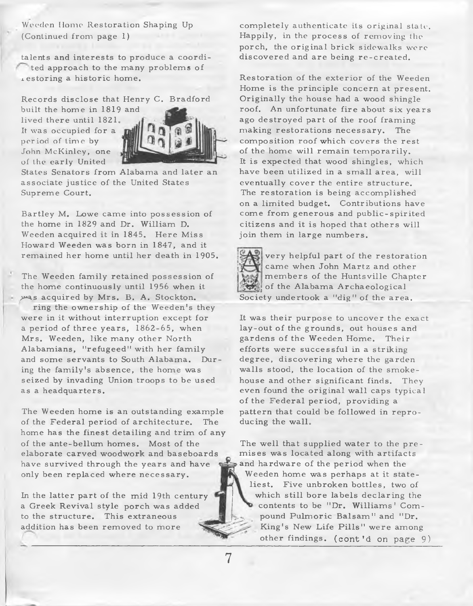Weeden Home Restoration Shaping Up (Continued from page 1)

talents and interests to produce a coordited approach to the many problems of r estoring a historic home.

Records disclose that Henry C. Bradford

built the home in 1819 and lived there until 1821. It was occupied for a period of time by John McKinley, one of the early United



States Senators from Alabama and later an associate justice of the United States Supreme Court.

Bartley M. Lowe came into possession of the home in 1829 and Dr. William D. Weeden acquired it in 1845. Here Miss Howard Weeden was born in 1847, and it remained her home until her death in 1905.

The Weeden family retained possession of the home continuously until 1956 when it was acquired by Mrs. B. A. Stockton.

ring the ownership of the Weeden's they were in it without interruption except for a period of three years, 1862-65, when Mrs. Weeden, like many other North Alabamians, "refugeed" with her family and some servants to South Alabama. During the family's absence, the home was seized by invading Union troops to be used as a headquarters.

The Weeden home is an outstanding example of the Federal period of architecture. The home has the finest detailing and trim of any of the ante-bellum homes. Most of the elaborate carved woodwork and baseboards have survived through the years and have only been replaced where necessary.

In the latter part of the mid 19th century a Greek Revival style porch was added to the structure. This extraneous addition has been removed to more

completely authenticate its original state. Happily, in the process of removing the porch, the original brick sidewalks were discovered and are being re-created.

Restoration of the exterior of the Weeden Home is the principle concern at present. Originally the house had a wood shingle roof. An unfortunate fire about six years ago destroyed part of the roof framing making restorations necessary. The com position roof which covers the rest of the home will remain temporarily. It is expected that wood shingles, which have been utilized in a small area, will eventually cover the entire structure. The restoration is being accomplished on a lim ited budget. Contributions have come from generous and public-spirited citizens and it is hoped that others will join them in large numbers.



very helpful part of the restoration came when John Martz and other m em bers of the Huntsville Chapter I of the Alabama Archaeological Society undertook a "dig" of the area.

It was their purpose to uncover the exact lay-out of the grounds, out houses and gardens of the Weeden Home. Their efforts were successful in a striking degree, discovering where the garden walls stood, the location of the smokehouse and other significant finds. They even found the original wall caps typical of the Federal period, providing a pattern that could be followed in reproducing the wall.

The well that supplied water to the prem ises was located along with artifacts and hardware of the period when the Weeden home was perhaps at it stateliest. Five unbroken bottles, two of which still bore labels declaring the contents to be "Dr. Williams' Compound Pulmoric Balsam" and "Dr. King's New Life Pills" were among other findings, **(cont'd on** page **9)**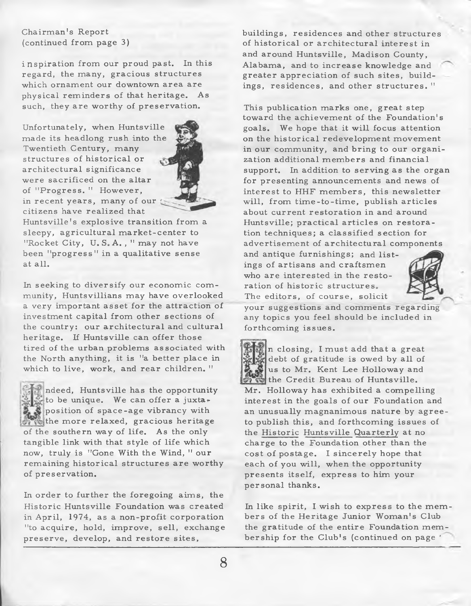### Chairman's Report  $(continued from page 3)$

in spiration from our proud past. In this regard, the many, gracious structures which ornament our downtown area are physical rem inders of that heritage. As such, they are worthy of preservation.

Unfortunately, when Huntsville made its headlong rush into the Twentieth Century, many structures of historical or architectural significance were sacrificed on the altar of "Progress." However, in recent years, many of our citizens have realized that



Huntsville's explosive transition from a sleepy, agricultural market-center to "Rocket City, U.S.A., " may not have been "progress" in a qualitative sense at all.

In seeking to diversify our economic community, Huntsvillians may have overlooked a very important asset for the attraction of investment capital from other sections of the country: our architectural and cultural heritage. If Huntsville can offer those tired of the urban problems associated with the North anything, it is "a better place in which to live, work, and rear children. "



ndeed, Huntsville has the opportunity to be unique. We can offer a juxtaposition of space-age vibrancy with the more relaxed, gracious heritage of the southern way of life. As the only tangible link with that style of life which now, truly is "Gone With the Wind, " our remaining historical structures are worthy of preservation.

In order to further the foregoing aims, the Historic Huntsville Foundation was created in April, 1974, as a non-profit corporation "to acquire, hold, improve, sell, exchange preserve, develop, and restore sites,

buildings, residences and other structures of historical or architectural interest in and around Huntsville, Madison County, Alabama, and to increase knowledge and greater appreciation of such sites, buildings, residences, and other structures. "

This publication marks one, great step toward the achievement of the Foundation's goals. We hope that it will focus attention on the historical redevelopment movement in our community, and bring to our organization additional members and financial support. In addition to serving as the organ for presenting announcements and news of interest to HHF members, this newsletter will, from time-to-time, publish articles about current restoration in and around Huntsville; practical articles on restora tion techniques; a classified section for advertisement of architectural components

and antique furnishings; and listings of artisans and craftsmen who are interested in the restoration of historic structures. The editors, of course, solicit



your suggestions and comments regarding any topics you feel should be included in forthcom ing issues.



n closing, I must add that a great debt of gratitude is owed by all of us to Mr. Kent Lee Holloway and the Credit Bureau of Huntsville. Mr. Holloway has exhibited a compelling interest in the goals of our Foundation and an unusually magnanimous nature by agreeto publish this, and forthcoming issues of the Historic Huntsville Quarterly at no charge to the Foundation other than the cost of postage. I sincerely hope that each of you will, when the opportunity presents itself, express to him your personal thanks.

In like spirit, I wish to express to the members of the Heritage Junior Woman's Club the gratitude of the entire Foundation membership for the Club's (continued on page '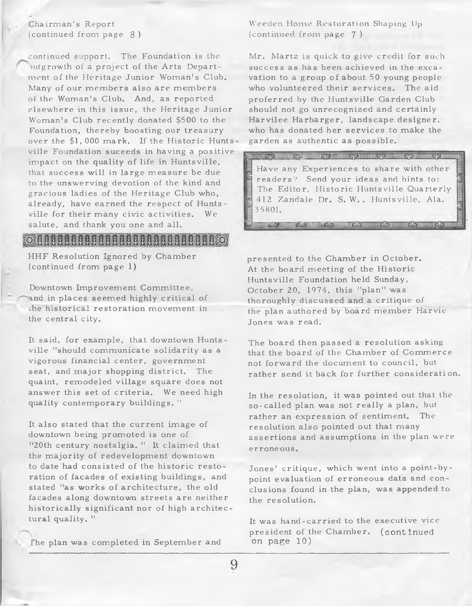### Chairman's Report (continued from page  $8$ )

continued support. The Foundation is the outgrowth of a project of the Arts Department of the Heritage Junior Woman's Club. Many of our members also are members of the Woman's Club. And, as reported elsewhere in this issue, the Heritage Junior Woman's Club recently donated \$500 to the Foundation, thereby boosting our treasury over the \$1,000 mark. If the Historic Huntsville Foundation suceeds in having a positive impact on the quality of life in Huntsville, that success will in large measure be due to the unswerving devotion of the kind and gracious ladies of the Heritage Club who, already, have earned the respect of Huntsville for their many civic activities. We salute, and thank you one and all.

### <u>OLAALAALAALAALAALAALAALO</u>

HHF Resolution Ignored by Chamber  $(continued from page 1)$ 

Downtown Improvement Committee, and in places seemed highly critical of the historical restoration movement in the central city.

It said, for example, that downtown Huntsville "should communicate solidarity as a vigorous financial center, government seat, and major shopping district. The quaint, rem odeled village square does not answer this set of criteria. We need high quality contemporary buildings."

It also stated that the current image of downtown being prom oted is one of "20th century nostalgia." It claimed that the majority of redevelopment downtown to date had consisted of the historic restoration of facades of existing buildings, and stated "as works of architecture, the old facades along downtown streets are neither historically significant nor of high architectural quality."

The plan was completed in September and

Weeden Home Restoration Shaping Up (continued from page 7)

Mr. Martz is quick to give credit for such success as has been achieved in the excavation to a group of about  $50$  young people who volunteered their services. The aid p roferred by the Huntsville Garden Club should not go unrecognized and certainly Harvilee Harbarger, landscape designer, who has donated her services to make the garden as authentic as possible.

asum experiments as a moment system of the community of the community Have any Experiences to share with other readers? Send your ideas and hints to: The Editor, Historic Huntsville Quarterly 412 Zandale Dr. S. W., Huntsville, Ala. 35801.

**DES AUTOMOTIVA AUTOMOTIVA AUTOMOTIVA AUTOMOTIVA AUTOMOTIVA AUTOMOTIVA A** 

presented to the Chamber in October. At the board meeting of the Historic Huntsville Foundation held Sunday, October 20, 1974, this "plan" was thoroughly discussed and a critique of the plan authored by board member Harvie Jones was read.

The board then passed a resolution asking that the board of the Chamber of Commerce not forward the document to council, but rather send it back for further consideration.

In the resolution, it was pointed out that the so-called plan was not really a plan, but rather an expression of sentiment. The resolution also pointed out that many assertions and assumptions in the plan were erroneous.

Jones' critique, which went into a point-bypoint evaluation of erroneous data and con clusions found in the plan, was appended to the resolution.

It was hand-carried to the executive vice president of the Chamber, **(continued on page 10)**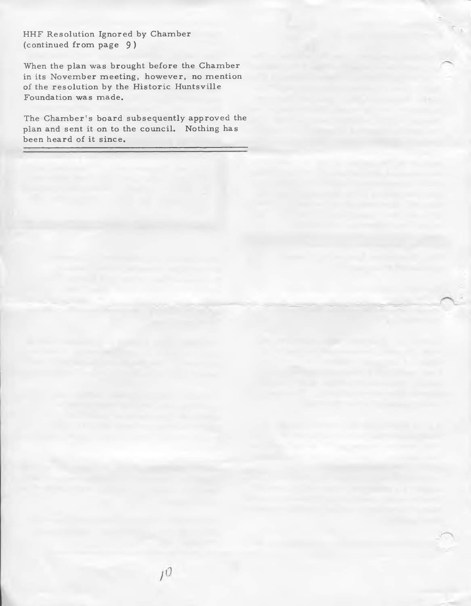HHF Resolution Ignored by Chamber  $(continued from page 9)$ 

When the plan was brought before the Chamber in its November meeting, however, no mention of the resolution by the Historic Huntsville Foundation was made.

The Chamber's board subsequently approved the plan and sent it on to the council. Nothing has been heard of it since.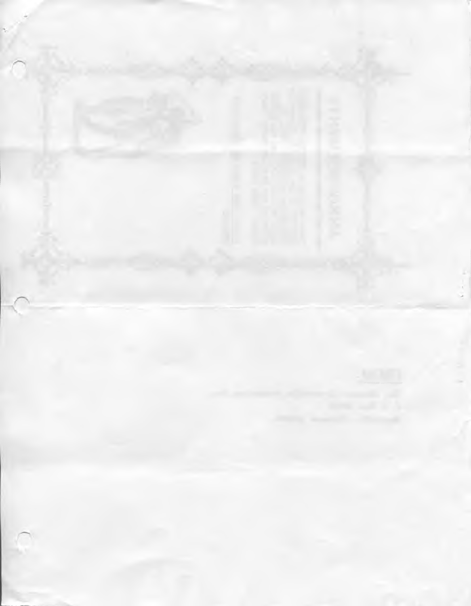